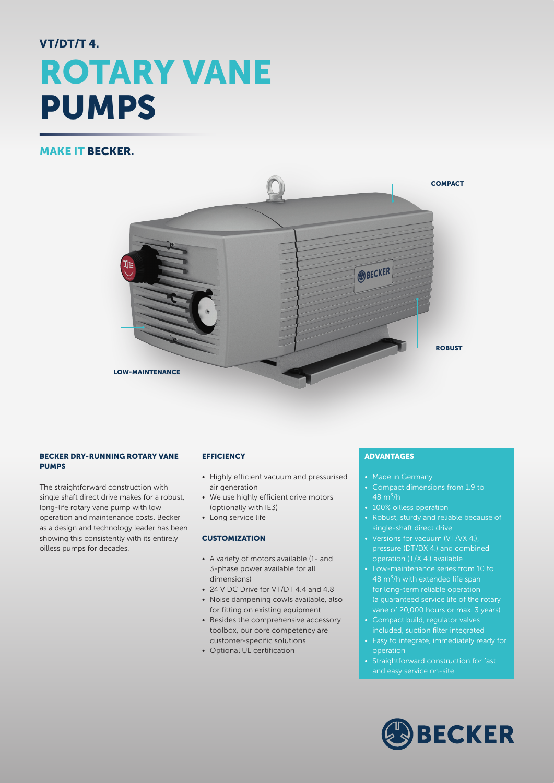# VT/DT/T 4. ROTARY VANE PUMPS

## MAKE IT BECKER.



#### BECKER DRY-RUNNING ROTARY VANE PUMPS

The straightforward construction with single shaft direct drive makes for a robust, long-life rotary vane pump with low operation and maintenance costs. Becker as a design and technology leader has been showing this consistently with its entirely oilless pumps for decades.

#### **EFFICIENCY**

- Highly efficient vacuum and pressurised air generation
- We use highly efficient drive motors (optionally with IE3)
- Long service life

#### **CUSTOMIZATION**

- A variety of motors available (1- and 3-phase power available for all dimensions)
- 24 V DC Drive for VT/DT 4.4 and 4.8
- Noise dampening cowls available, also for fitting on existing equipment
- Besides the comprehensive accessory toolbox, our core competency are customer-specific solutions
- Optional UL certification

### ADVANTAGES

- Made in Germany
- Compact dimensions from 1.9 to 48  $m^3/h$
- 100% oilless operation
- Robust, sturdy and reliable because of single-shaft direct drive
- Versions for vacuum (VT/VX 4.), pressure (DT/DX 4.) and combined operation (T/X 4.) available
- Low-maintenance series from 10 to 48 m<sup>3</sup>/h with extended life span for long-term reliable operation (a guaranteed service life of the rotary vane of 20,000 hours or max. 3 years)
- Compact build, regulator valves included, suction filter integrated
- Easy to integrate, immediately ready for operation
- Straightforward construction for fast and easy service on-site